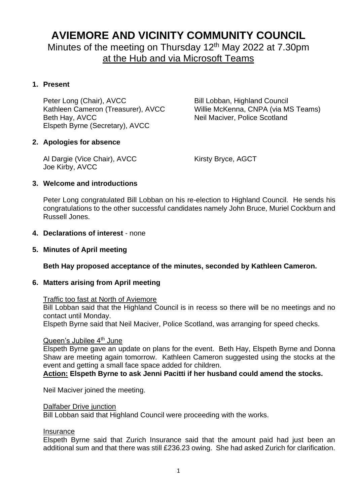## **AVIEMORE AND VICINITY COMMUNITY COUNCIL**

Minutes of the meeting on Thursday 12<sup>th</sup> May 2022 at 7.30pm at the Hub and via Microsoft Teams

## **1. Present**

Peter Long (Chair), AVCC Bill Lobban, Highland Council Beth Hay, AVCC Neil Maciver, Police Scotland Elspeth Byrne (Secretary), AVCC

Kathleen Cameron (Treasurer), AVCC Willie McKenna, CNPA (via MS Teams)

## **2. Apologies for absence**

Al Dargie (Vice Chair), AVCC Kirsty Bryce, AGCT Joe Kirby, AVCC

## **3. Welcome and introductions**

Peter Long congratulated Bill Lobban on his re-election to Highland Council. He sends his congratulations to the other successful candidates namely John Bruce, Muriel Cockburn and Russell Jones.

## **4. Declarations of interest** - none

**5. Minutes of April meeting**

## **Beth Hay proposed acceptance of the minutes, seconded by Kathleen Cameron.**

## **6. Matters arising from April meeting**

## Traffic too fast at North of Aviemore

Bill Lobban said that the Highland Council is in recess so there will be no meetings and no contact until Monday.

Elspeth Byrne said that Neil Maciver, Police Scotland, was arranging for speed checks.

#### Queen's Jubilee 4<sup>th</sup> June

Elspeth Byrne gave an update on plans for the event. Beth Hay, Elspeth Byrne and Donna Shaw are meeting again tomorrow. Kathleen Cameron suggested using the stocks at the event and getting a small face space added for children.

**Action: Elspeth Byrne to ask Jenni Pacitti if her husband could amend the stocks.**

Neil Maciver joined the meeting.

#### Dalfaber Drive junction

Bill Lobban said that Highland Council were proceeding with the works.

#### **Insurance**

Elspeth Byrne said that Zurich Insurance said that the amount paid had just been an additional sum and that there was still £236.23 owing. She had asked Zurich for clarification.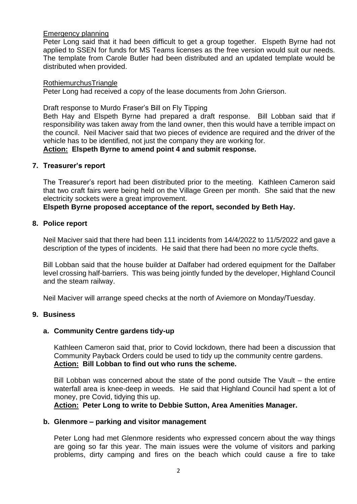## Emergency planning

Peter Long said that it had been difficult to get a group together. Elspeth Byrne had not applied to SSEN for funds for MS Teams licenses as the free version would suit our needs. The template from Carole Butler had been distributed and an updated template would be distributed when provided.

#### **RothiemurchusTriangle**

Peter Long had received a copy of the lease documents from John Grierson.

Draft response to Murdo Fraser's Bill on Fly Tipping

Beth Hay and Elspeth Byrne had prepared a draft response. Bill Lobban said that if responsibility was taken away from the land owner, then this would have a terrible impact on the council. Neil Maciver said that two pieces of evidence are required and the driver of the vehicle has to be identified, not just the company they are working for.

**Action: Elspeth Byrne to amend point 4 and submit response.**

#### **7. Treasurer's report**

The Treasurer's report had been distributed prior to the meeting. Kathleen Cameron said that two craft fairs were being held on the Village Green per month. She said that the new electricity sockets were a great improvement.

## **Elspeth Byrne proposed acceptance of the report, seconded by Beth Hay.**

#### **8. Police report**

Neil Maciver said that there had been 111 incidents from 14/4/2022 to 11/5/2022 and gave a description of the types of incidents. He said that there had been no more cycle thefts.

Bill Lobban said that the house builder at Dalfaber had ordered equipment for the Dalfaber level crossing half-barriers. This was being jointly funded by the developer, Highland Council and the steam railway.

Neil Maciver will arrange speed checks at the north of Aviemore on Monday/Tuesday.

## **9. Business**

## **a. Community Centre gardens tidy-up**

Kathleen Cameron said that, prior to Covid lockdown, there had been a discussion that Community Payback Orders could be used to tidy up the community centre gardens. **Action: Bill Lobban to find out who runs the scheme.**

Bill Lobban was concerned about the state of the pond outside The Vault – the entire waterfall area is knee-deep in weeds. He said that Highland Council had spent a lot of money, pre Covid, tidying this up.

**Action: Peter Long to write to Debbie Sutton, Area Amenities Manager.**

#### **b. Glenmore – parking and visitor management**

Peter Long had met Glenmore residents who expressed concern about the way things are going so far this year. The main issues were the volume of visitors and parking problems, dirty camping and fires on the beach which could cause a fire to take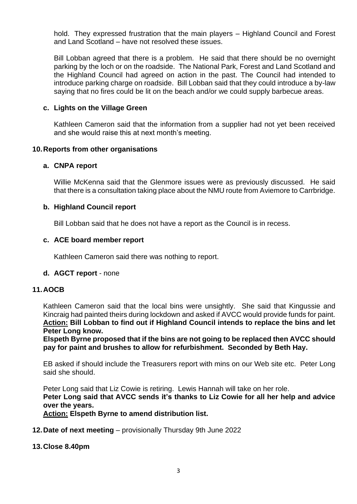hold. They expressed frustration that the main players – Highland Council and Forest and Land Scotland – have not resolved these issues.

Bill Lobban agreed that there is a problem. He said that there should be no overnight parking by the loch or on the roadside. The National Park, Forest and Land Scotland and the Highland Council had agreed on action in the past. The Council had intended to introduce parking charge on roadside. Bill Lobban said that they could introduce a by-law saying that no fires could be lit on the beach and/or we could supply barbecue areas.

#### **c. Lights on the Village Green**

Kathleen Cameron said that the information from a supplier had not yet been received and she would raise this at next month's meeting.

#### **10.Reports from other organisations**

#### **a. CNPA report**

Willie McKenna said that the Glenmore issues were as previously discussed. He said that there is a consultation taking place about the NMU route from Aviemore to Carrbridge.

#### **b. Highland Council report**

Bill Lobban said that he does not have a report as the Council is in recess.

#### **c. ACE board member report**

Kathleen Cameron said there was nothing to report.

#### **d. AGCT report** - none

## **11.AOCB**

Kathleen Cameron said that the local bins were unsightly. She said that Kingussie and Kincraig had painted theirs during lockdown and asked if AVCC would provide funds for paint. **Action: Bill Lobban to find out if Highland Council intends to replace the bins and let Peter Long know.**

**Elspeth Byrne proposed that if the bins are not going to be replaced then AVCC should pay for paint and brushes to allow for refurbishment. Seconded by Beth Hay.**

EB asked if should include the Treasurers report with mins on our Web site etc. Peter Long said she should.

Peter Long said that Liz Cowie is retiring. Lewis Hannah will take on her role. **Peter Long said that AVCC sends it's thanks to Liz Cowie for all her help and advice over the years. Action: Elspeth Byrne to amend distribution list.**

**12.Date of next meeting** – provisionally Thursday 9th June 2022

#### **13.Close 8.40pm**